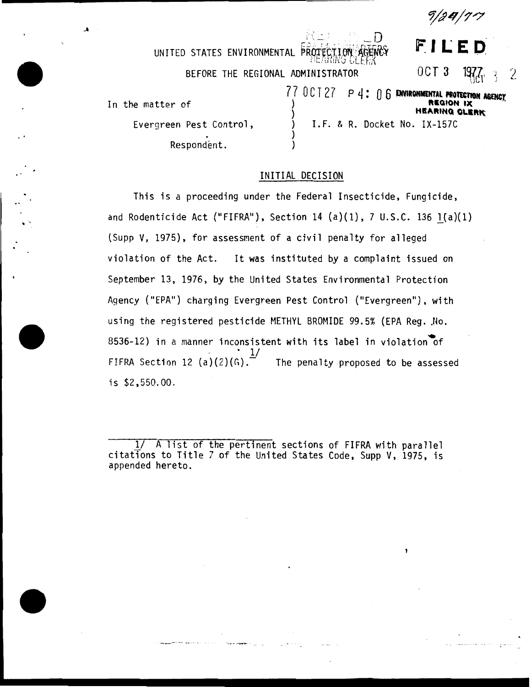9pLt/?'7

 $\mu$  in ited states environmental  $\overline{P}$ ROTECTION  $\overline{P}$ AGENCY MEARING CLERX BEFORE THE REGIONAL ADMINISTRATOR **FILED:**  OCT 3 197*7*, and 2 77 OCT27 P4: 06 **ENVIROHMENTAL PROTECTION AGENCY** In the matter of Evergreen Pest Control, . Respondent. **HEARING CLERK** ) ) ) I.F. & R. Docket No. IX-157C

# INITIAL DECISION

..

This is a proceeding under the Federal Insecticide, Fungicide, and Rodenticide Act ("FIFRA"), Section 14 (a)(1), 7 U.S.C. 136  $1(a)(1)$ (Supp V, 1975), for assessment of a civil penalty for alleged violation of the Act. It was instituted by a complaint issued on September 13, 1976, by the United States Environmental Protection Agency ("EPA") charging Evergreen Pest Control ("Evergreen"), with using the registered pesticide METHYL BROMIDE 99.5% (EPA Reg. No. 8536-12) in a manner inconsistent with its label in violation of<br>FIFRA Section 12 (a)(2)(G). The penalty proposed to be assess The penalty proposed to be assessed is \$2,550.00.

 $\frac{1}{4}$  A list of the pertinent sections of FIFRA with parallel citations to Title 7 of the United States Code, Supp V, 1975, is appended hereto.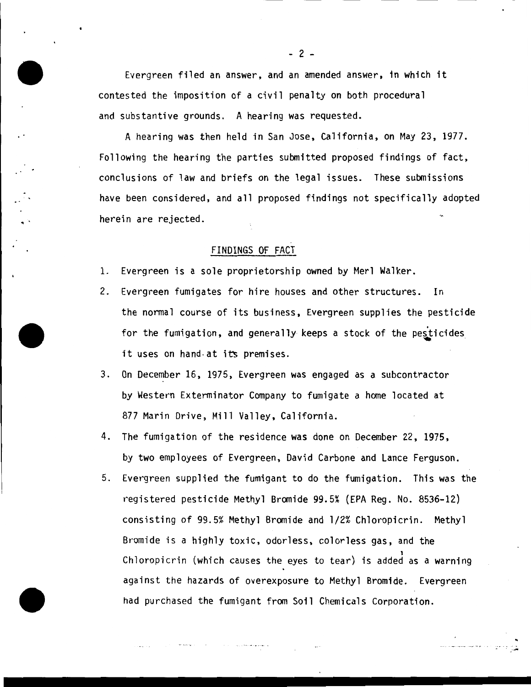Evergreen filed an answer, and an amended answer, in which it contested the imposition of a civil penalty on both procedural and substantive grounds. A hearing was requested.

A hearing was then held in San Jose, California, on May 23, 1977. Following the hearing the parties submitted proposed findings of fact, conclusions of law and briefs on the legal issues. These submissions have been considered, and all proposed findings not specifically adopted herein are rejected.

### FINDINGS OF FACT

 $\ddot{\phantom{a}}$ 

- 1. Evergreen is a sole proprietorship owned by Merl Walker.
- 2. Evergreen fumigates for hire houses and other structures. In the normal course of its business, Evergreen supplies the pesticide for the fumigation, and generally keeps a stock of the pesticides it uses on hand-at its premises.
- 3. On December 16, 1975, Evergreen was engaged as a subcontractor by Western Exterminator Company to fumigate a home located at 877 Marin Drive, Mill Valley, California.
- 4. The fumigation of the residence was done on December 22, 1975, by two employees of Evergreen, David Carbone and Lance Ferguson.
- 5. Evergreen supplied the fumigant to do the fumigation. This was the registered pesticide Methyl Bromide 99.5% (EPA Reg. No. 8536-12) consisting of 99.5% Methyl Bromide and 1/2% Chloropicrin. Methyl Bromide is a highly toxic, odorless. colorless gas, and the 1 Chloropicrin (which causes the eyes to tear) is added as a warning against the hazards of overexposure to Methyl Bromide. Evergreen had purchased the fumigant from Soil Chemicals Corporation.

.<br>مر

 $- 2 -$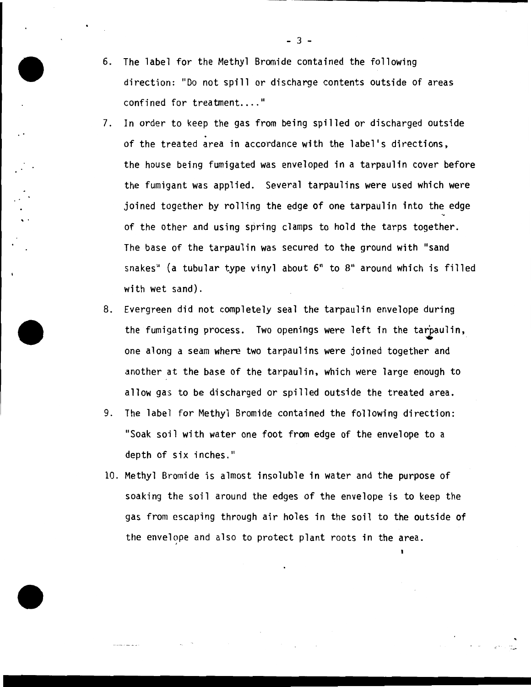- 6. The label for the Methyl Bromide contained the following direction: "Do not spill or discharge contents outside of areas confined for treatment...."
- 7. In order to keep the gas from being spilled or discharged outside<br>of the treated area in accordance with the label's directions, the house being fumigated was enveloped in a tarpaulin cover before the fumigant was applied. Several tarpaulins were used which were joined together by rolling the edge of one tarpaulin into the edge of the other and using spring clamps to hold the tarps together. The base of the tarpaulin was secured to the ground with "sand snakes" (a tubular type vinyl about 6" to 8" around which is filled with wet sand).

.<br>. .

- 8. Evergreen did not completely seal the tarpaulin envelope during the fumigating process. Two openings were left in the tarpaulin, one along a seam where two tarpaulins were joined together and another at the base of the tarpaulin, which were large enough to allow gas to be discharged or spilled outside the treated area.
- 9. The label for Methyl Bromide contained the following direction: "Soak soil with water one foot from edge of the envelope to a depth of six inches."
- 10. Methyl Bromide is almost insoluble in water and the purpose of soaking the soil around the edges of the envelope is to keep the gas from escaping through air holes in the soil to the outside of the envelope and also to protect plant roots in the area.

• ... ...

 $-3 -$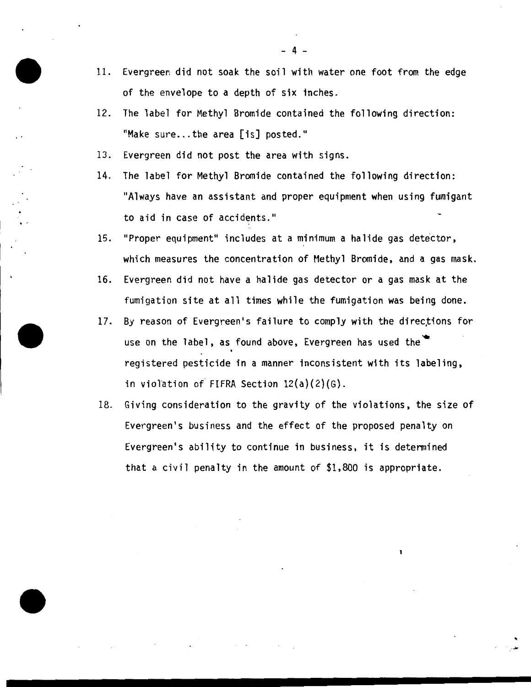- 11. Evergreen did not soak the soil with water one foot from the edge of the envelope to a depth of six inches.
- 12. The label for Methyl Bromide contained the following direction: "Make sure... the area  $\lceil$  is] posted."
- 13. Evergreen did not post the area with signs.
- 14. The label for Methyl Bromide contained the following direction: "Always have an assistant and proper equipment when using fumigant to aid in case of accidents."
- 15. "Proper equipment" includes at a minimum a halide gas detector, which measures the concentration of Methyl Bromide, and a gas mask.
- 16. Evergreen did not have a halide gas detector or a gas mask at the fumigation site at all times while the fumigation was being done.
- 17. By reason of Evergreen's failure to comply with the directions for use on the label, as found above, Evergreen has used the registered pesticide in a manner inconsistent with its labeling, in violation *o{* FIFRA Section 12(a)(2)(G).
- 18. Giving consideration to the gravity of the violations, the size of Evergreen's business and the effect of the proposed penalty on Evergreen's ability to continue in business, it is determined that a civil penalty in the amount of \$1,800 is appropriate.

. ......

 $4 -$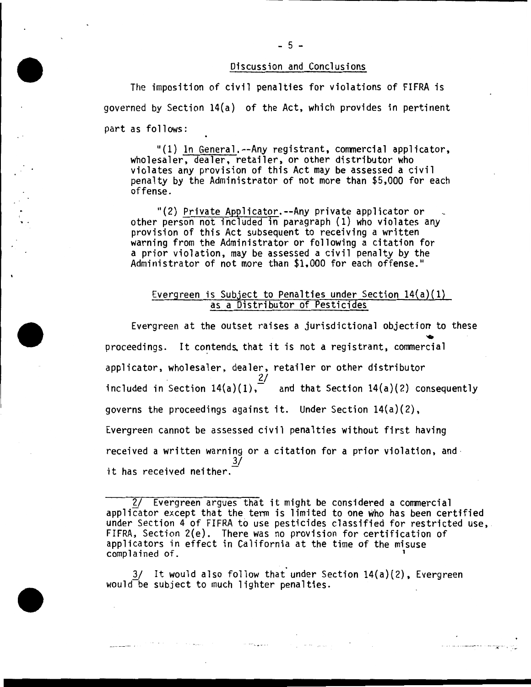### Discussion and Conclusions

The imposition of civil penalties for violations of FIFRA is governed by Section 14(a) of the Act, which provides in pertinent part as follows:

"(1) In General.--Any registrant, commercial applicator, wholesaler, dealer, retailer, or other distributor who violates any provision of this Act may be assessed a civil penalty by the Administrator of not more than \$5,000 for each offense.

"(2) Private Applicator.--Any private applicator or other person not included in paragraph (1) who violates any provision of this Act subsequent to receiving a written warning from the Administrator or following a citation for a prior violation, may be assessed a civil penalty by the Administrator of not more than \$1,000 for each offense."

# Evergreen is Subject to Penalties under Section  $14(a)(1)$ as a Distributor of Pesticides

Evergreen at the outset raises a jurisdictional objection to these proceedings. It contends, that it is not a registrant, commercial applicator, wholesaler, dealer, retailer or other distributor  $\frac{2}{ }$ included in Section 14(a)(1), and that Section 14(a)(2) consequently governs the proceedings against it. Under Section 14(a)(2), Evergreen cannot be assessed civil penalties without first having received a written warning or a citation for a prior violation, and it has received neither.

 $\mathcal{O}(\mathcal{O}_\mathcal{O})$  and the same  $\mathcal{O}(\mathcal{O}_\mathcal{O})$  . The same  $\mathcal{O}(\mathcal{O}_\mathcal{O})$ 

·- -· it.' .•. : -.. ·\_,.

 $3/$  It would also follow that under Section 14(a)(2), Evergreen would be subject to much lighter penalties.

 $\sim 10^{11}$  employees and  $\sim 10^{11}$ 

ويقطع والمرادات والمحافظ فالمحارب والمستنبذ

#### - 5 -

<sup>2/</sup> Evergreen argues that it might be considered a commercial applicator except that the term is limited to one who has been certified<br>under Section 4 of FIFRA to use pesticides classified for restricted use, FIFRA, Section 2(e). There was no provision for certification of applicators in effect in California at the time of the misuse complained of. <sup>1</sup>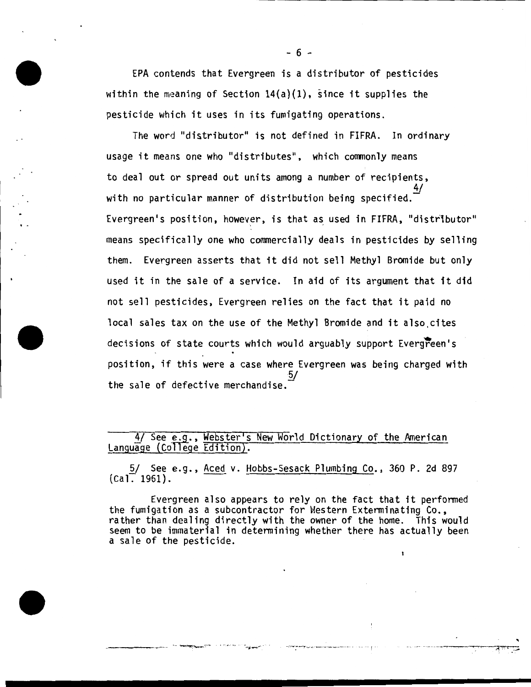EPA contends that Evergreen is a distributor of pesticides within the meaning of Section  $14(a)(1)$ , since it supplies the pesticide which it uses in its fumigating operations.

The word "distributor" is not defined in FIFRA. In ordinary usage it means one who "distributes", which commonly means to deal out or spread out units among a number of recipients, 4/ with no particular manner of distribution being specified. Evergreen's position, however, is that as used in FIFRA, "distributor" means specifically one who commercially deals in pesticides by selling them. Evergreen asserts that it did not sell Methyl Bromide but only used it in the sale of a service. In aid of its argument that it did not sell pesticides, Evergreen relies on the fact that it paid no local sales tax on the use of the Methyl Bromide and it also,cites decisions of state courts which would arguably support Evergreen's position, if this were a case where Evergreen was being charged with 5/ the sale of defective merchandise.

4/ See e.g., Webster's New World Dictionary of the American Language (College Edition).

5/ See e.g., Aced v. Hobbs-Sesack Plumbing Co., 360 P. 2d 897  $(Ca)$ . 1961).

Evergreen also appears to rely on the fact that it performed the fumigation as a subcontractor for Hestern Exterminating Co., rather than dealing directly with the owner of the home. This would seem to be immaterial in determining whether there has actually been a sale of the pesticide.

..

-· ! .. --·· -- -- ~-~ ~!=·· ,\_... · *. ..:.*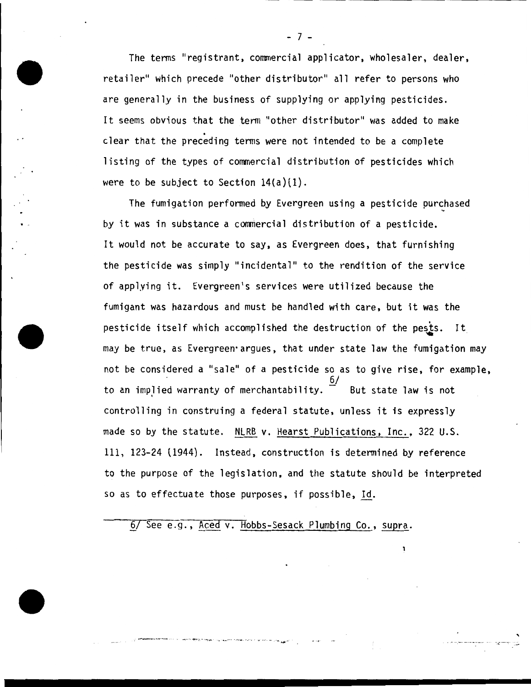The terms "registrant, commercial applicator, wholesaler, dealer, retailer" which precede "other distributor" all refer to persons who are generally in the business of supplying or applying pesticides. It seems obvious that the term "other distributor" was added to make<br>clear that the preceding terms were not intended to be a complete listing of the types of commercial distribution of pesticides which were to be subject to Section  $14(a)(1)$ .

The fumigation performed by Evergreen using a pesticide purchased by it was in substance a commercial distribution of a pesticide. It would not be accurate to say, as Evergreen does, that furnishing the pesticide was simply "incidental" to the rendition of the service of applying it. Evergreen's services were utilized because the fumigant was hazardous and must be handled with care, but it was the pesticide itself which accomplished the destruction of the pests. It may be true, as Evergreen argues, that under state law the fumigation may not be considered a "sale" of a pesticide so as to give rise, for example, to an implied warranty of merchantability.  $\frac{D}{2}$  But state law is not controlling in construing a federal statute, unless it is expressly made so by the statute. NLRB v. Hearst Publications, Inc., 322 U.S. 111, 123-24 {1944) . Instead, construction is determined by reference to the purpose of the legislation, and the statute should be interpreted so as to effectuate those purposes, if possible, Id.

6/ See e.g., Aced v. Hobbs-Sesack Plumbing Co., supra.

. . --· -· -· ---- ·--·- <sup>~</sup>--·-·-· . . ... . --

- 7 -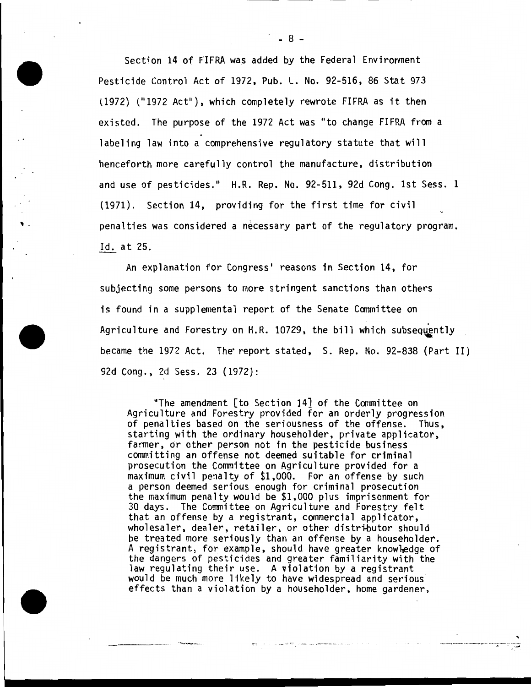Section 14 of FIFRA was added by the Federal Environment Pesticide Control Act of 1972, Pub. L. No. 92-516, 86 Stat 973 (1972) ("1972 Act"), which completely rewrote FIFRA as it then existed. The purpose of the 1972 Act was "to change FIFRA from a labeling law into a comprehensive regulatory statute that will henceforth more carefully control the manufacture, distribution and use of pesticides." H.R. Rep. No. 92-511, 92d Cong. 1st Sess. 1 (1971). Section 14, providing for the first time for civil penalties was considered a necessary part of the regulatory program. Id. at 25.

' .

An explanation for Congress' reasons in Section 14, for subjecting some persons to more stringent sanctions than others is found in a supplemental report of the Senate Committee on Agriculture and Forestry on H.R. 10729, the bill which subsequently became the 1972 Act. The report stated, S. Rep. No. 92-838 (Part II) 92d Cong., 2d Sess. 23 (1972):

"The amendment  $\lceil$  to Section 14 $\rceil$  of the Committee on Agriculture and Forestry provided for an orderly progression of penalties based on the seriousness of the offense. Thus, starting with the ordinary householder, private applicator, farmer, or other person not in the pesticide business committing an offense not deemed suitable for criminal prosecution the Committee on Agriculture provided for a maximum civil penalty of \$1,000. For an offense by such the maximum penalty would be \$1,000 plus imprisonment for 30 days. The Committee on Agriculture and Forestry felt that an offense by a registrant, commercial applicator, wholesaler, dealer, retailer, or other distributor should be treated more seriously than an offense by a householder. A registrant, for example, should have greater knowledge of the dangers of pesticides and greater familiarity with the law regulating their use. A violation by a registrant would be much more likely to have widespread and serious effects than a violation by a householder, home gardener,

-~--. ---·· ----- -··--

 $\frac{1}{2}$ .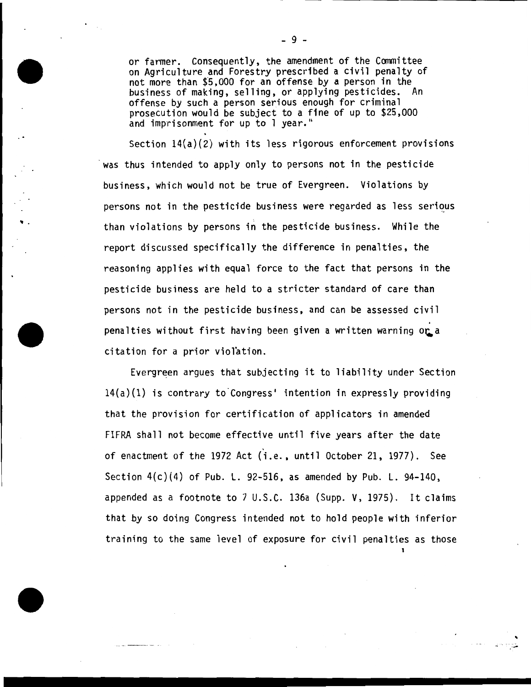or farmer. Consequently, the amendment of the Committee on Agriculture and Forestry prescribed a civil penalty of not more than \$5,000 for an offense by a person in the business of making, selling, or applying pesticides. An offense by such a person serious enough for criminal prosecution would be subject to a fine of up to \$25,000 and imprisonment for up to 1 year."

Section 14(a)(2) with its less rigorous enforcement provisions was thus intended to apply only to persons not in the pesticide business, which would not be true of Evergreen. Violations by persons not in the pesticide business were regarded as less serious than violations by persons in the pesticide business. While the report discussed specifically the difference in penalties, the reasoning applies with equal force to the fact that persons in the pesticide business are held to a stricter standard of care than persons not in the pesticide business, and can be assessed civil<br>penalties without first having been given a written warning or a citation for a prior violation.

,. .

Evergreen argues that subjecting it to liability under Section  $14(a)(1)$  is contrary to Congress' intention in expressly providing that the provision for certification of applicators in amended FIFRA shall not become effective until five years after the date of enactment of the 1972 Act (i.e., until October 21, 1977). See Section 4(c)(4) of Pub. L. 92-516, as amended by Pub. L. 94-140, appended as a footnote to 7 U.S.C. 136a (Supp. V, 1975). It claims that by so doing Congress intended not to hold people with inferior training to the same level of exposure for civil penalties as those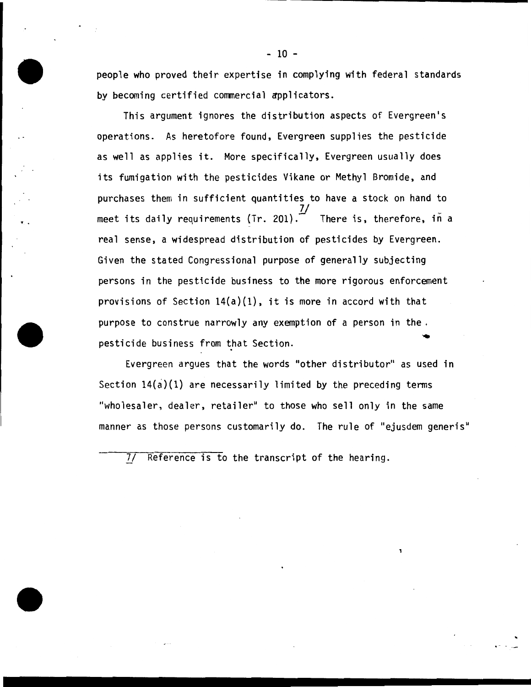people who proved their expertise in complying with federal standards by becoming certified commercial applicators.

This argument ignores the distribution aspects of Evergreen's operations. As heretofore found, Evergreen supplies the pesticide as well as applies it. More specifically, Evergreen usually does its fumigation with the pesticides Vikane or Methyl Bromide, and purchases them in sufficient quantities to have a stock on hand to 7/ meet its daily requirements (Tr. 201). $\tilde{\phantom{a}}$  There is, therefore, in a real sense, a widespread distribution of pesticides by Evergreen. Given the stated Congressional purpose of generally subjecting persons in the pesticide business to the more rigorous enforcement provisions of Section  $14(a)(1)$ , it is more in accord with that purpose to construe narrowly any exemption of a person in the. pesticide business from that Section.

..

Evergreen argues that the words "other distributor" as used in Section  $14(a)(1)$  are necessarily limited by the preceding terms "wholesaler, dealer, retailer" to those who sell only in the same manner as those persons customarily do. The rule of "ejusdem generis"

7/ Reference is to the transcript of the hearing.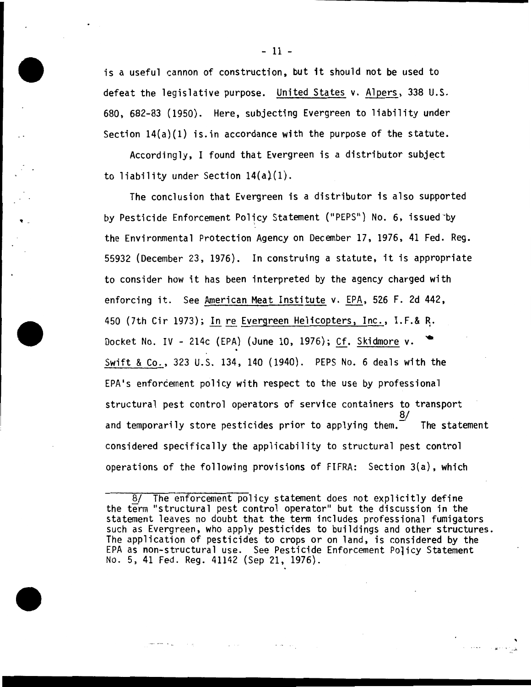is a useful cannon of construction, but it should not be used to defeat the legislative purpose. United States v. Alpers, 338 U.S. 680, 682-83 (1950). Here, subjecting Evergreen to liability under Section  $14(a)(1)$  is. in accordance with the purpose of the statute.

 $According$   $I$  found that Evergreen is a distributor subject to liability under Section 14(a}(1).

. -

The conclusion that Evergreen is a distributor is also supported by Pesticide Enforcement Policy Statement ("PEPS") No.6, issued-by the Environmental Protection Agency on December 17, 1976, 41 Fed. Reg. 55932 (December 23, 1976). In construing a statute, it is appropriate to consider how it has been interpreted by the agency charged with enforcing it. See American Meat Institute v. EPA, 526 F. 2d 442, 450 (7th Cir 1973); In re Evergreen Helicopters, Inc., I.F.& R. Docket No. IV - 214c (EPA) (June 10, 1976); Cf. Skidmore v. Swift & Co., 323 U.S. 134, 140 (1940). PEPS No. 6 deals with the EPA's enforcement policy with respect to the use by professional structural pest control operators of service containers to transport  $\overline{8/}$ and temporarily store pesticides prior to applying them. $^ \,$  The statement  $\,$ considered specifically the applicability to structural pest control operations of the following provisions of FIFRA: Section 3(a), which

. .fl - • *..J.* 

The enforcement policy statement does not explicitly define the term "structural pest control operator" but the discussion in the statement leaves no doubt that the term includes professional fumigators such as Evergreen, who apply pesticides to buildings and other structures. The application of pesticides to crops or on land, is considered by the EPA as non-structural use. See Pesticide Enforcement Policy Statement No. 5, 41 Fed. Reg. 41142 (Sep 21, 1976).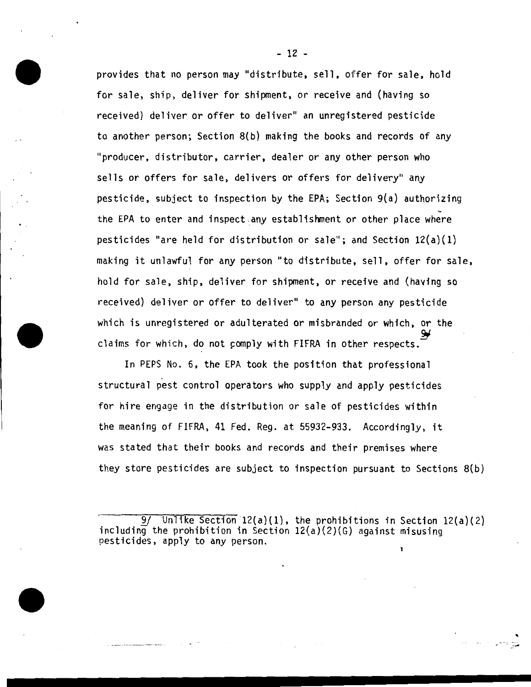provides that no person may "distribute, sell, offer for sale, hold for sale, ship, deliver for shipment, or receive and (having so received} deliver or offer to deliver" an unregistered pesticide to another person; Section 8(b) making the books and records of any "producer, distributor, carrier, dealer or any other person who sells or offers for sale, delivers or offers for delivery" any pesticide, subject to inspection by the EPA; Section 9(a) authorizing the EPA to enter and inspect .any establishment or other place where pesticides "are held for distribution or sale"; and Section  $12(a)(1)$ making it unlawful for any person "to distribute, sell, offer for sale, hold for sale, ship, deliver for shipment, or receive and (having so received) deliver or offer to deliver" to any person any pesticide which is unregistered or adulterated or misbranded or which, or the ~ claims for which, do not comply with FIFRA in other respects.

In PEPS No. 6, the EPA took the position that professional structural pest control operators who supply and apply pesticides for hire engage in the distribution or sale of pesticides within the meaning of FIFRA, 41 Fed. Reg. at 55932-933. Accordingly, it was stated that their books and records and their premises where they store pesticides are subject to inspection pursuant to Sections 8{b)

Unlike Section  $12(a)(1)$ , the prohibitions in Section  $12(a)(2)$ including the prohibition in Section  $12(a)(2)(G)$  against misusing pesticides, apply to any person.

..

- 12 -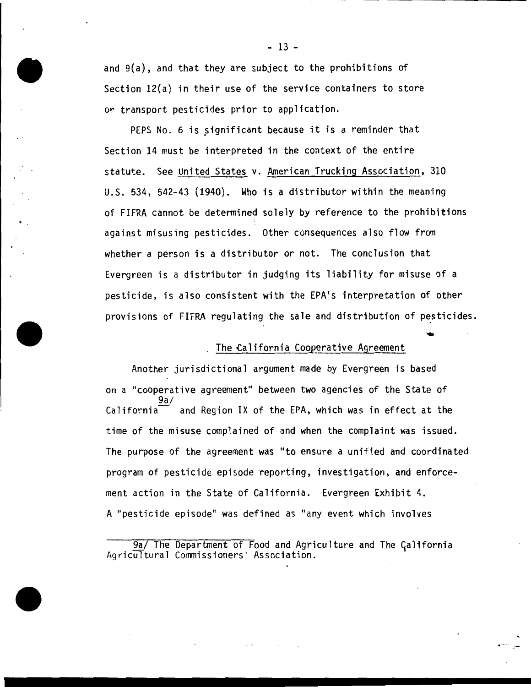and 9(a), and that they are subject to the prohibitions of Section 12(a) in their use of the service containers to store or transport pesticides prior to application.

PEPS No. 6 is significant because it is a reminder that Section 14 must be interpreted in the context of the entire statute. See United States v. American Trucking Association, 310 U.S. 534, 542-43 (1940). Who is a distributor within the meaning of FIFRA cannot be determined solely by reference to the prohibitions against misusing pesticides. Other consequences also flow from whether a person is a distributor or not. The conclusion that Evergreen is a distributor in judging its liability for misuse of a pesticide, is also consistent with the EPA's interpretation of other provisions of FIFRA regulating the sale and distribution of pesticides.

# The California Cooperative Agreement

Another jurisdictional argument made by Evergreen is based on a "cooperative agreement" between two agencies of the State of 9a/  $California$  and Region IX of the EPA, which was in effect at the time of the misuse complained of and when the complaint was issued. The purpose of the agreement was "to ensure a unified and coordinated program of pesticide episode reporting, investigation, and enforcement action in the State of California. Evergreen Exhibit 4. A "pesticide episode" was defined as "any event which involves

9a/ The Department of Food and Agriculture and The California AgricUltural Commissioners' Association.

#### - 13 -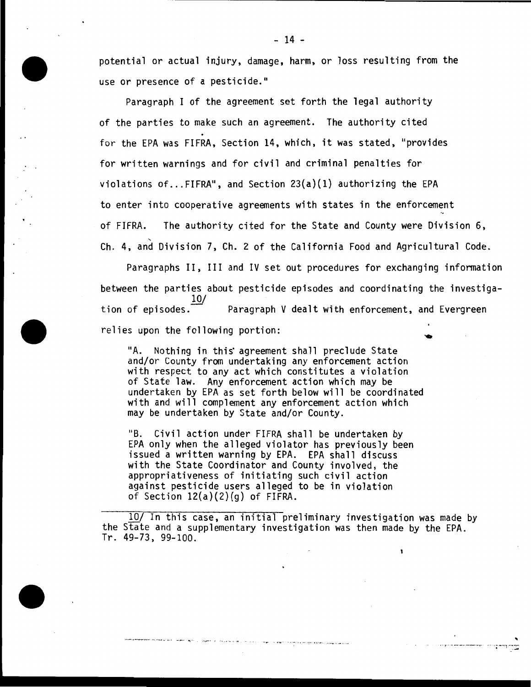potential or actual injury, damage, harm, or loss resulting from the use or presence of a pesticide."

Paragraph I of the agreement set forth the legal authority of the parties to make such an agreement. The authority cited for the EPA was FIFRA, Section 14, which, it was stated, "provides for written warnings and for civil and criminal penalties for violations of... FIFRA<sup>4</sup>, and Section  $23(a)(1)$  authorizing the EPA to enter into cooperative agreements with states in the enforcement of FIFRA. The authority cited for the State and County were Division 6, ' Ch. 4, and Division 7, Ch. 2 of the California Food and Agricultural Code.

Paragraphs II, III and IV set out procedures for exchanging information between the parties about pesticide episodes and coordinating the investigation of episodes.  $\frac{10}{10}$ Paragraph V dealt with enforcement, and Evergreen relies upon the following portion:

"A. Nothing in this agreement shall preclude State and/or County from undertaking any enforcement action with respect to any act which constitutes a violation of State law. Any enforcement action which may be undertaken by EPA as set forth below will be coordinated with and will complement any enforcement action which may be undertaken by State and/or County.

"B. Civil action under FIFRA shall be undertaken by EPA only when the alleged violator has previously been issued a written warning by EPA. EPA shall discuss with the State Coordinator and County involved, the appropriativeness of initiating such civil action against pesticide users alleged to be in violation of Section  $12(a)(2)(g)$  of FIFRA.

·-· .. -r.- -. ·. <sup>~</sup>... -.•... -·---· -.., .. ,.,,....... ' .·.,., ·• ·• .,.\_ . ·,• · • • • . ... • H "f' ' . • •---- ., , . , ., •. ~,,,...

10/ In this case, an initial preliminary investigation was made by the State and a supplementary investigation was then made by the EPA. Tr. 49-73, 99-100.

.<br>قام المراكب المصدر المستقل المراكب

1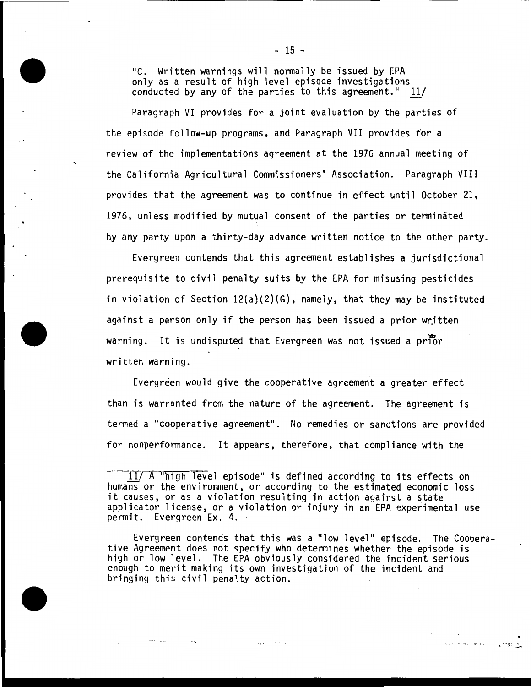"C. Written warnings will nonnally be issued by EPA only as a result of high level episode investigations conducted by any of the parties to this agreement."  $11/$ 

Paragraph VI provides for a joint evaluation by the parties of the episode follow-up programs, and Paragraph VII provides for a review of the implementations agreement at the 1976 annual meeting of the California Agricultural Commissioners• Association. Paragraph VIII provides that the agreement was to continue in effect until October 21, 1976, unless modified by mutual consent of the parties or tenninated by any party upon a thirty-day advance written notice to the other party.

Evergreen contends that this agreement establishes a jurisdictional prerequisite to civil penalty suits by the EPA for misusing pesticides in violation of Section  $12(a)(2)(G)$ , namely, that they may be instituted against a person only if the person has been issued a prior written warning. It is undisputed that Evergreen was not issued a prior written warning.

Evergreen would give the cooperative agreement a greater effect than is warranted from the nature of the agreement. The agreement is tenned a "cooperative agreement". No remedies or sanctions are provided for nonperformance. It appears, therefore, that compliance with the

أأمرت ومعقا معصوبين والأرادات

 $\sigma^2$  G is  $\sigma_{A_{\rm{max}}}=0$  .

 $11/$  A "high level episode" is defined according to its effects on humans or the environment, or according to the estimated economic loss it causes, or as a violation resulting in action against a state applicator license, or a violation or injury in an EPA experimental use permit. Evergreen Ex. 4.

Evergreen contends that this was a "low level" episode. The Coopera- tive Agreement does not specify who determines whether the episode is high or low level. The EPA obviously considered the incident serious enough to merit making its own investigation of the incident and bringing this civil penalty action.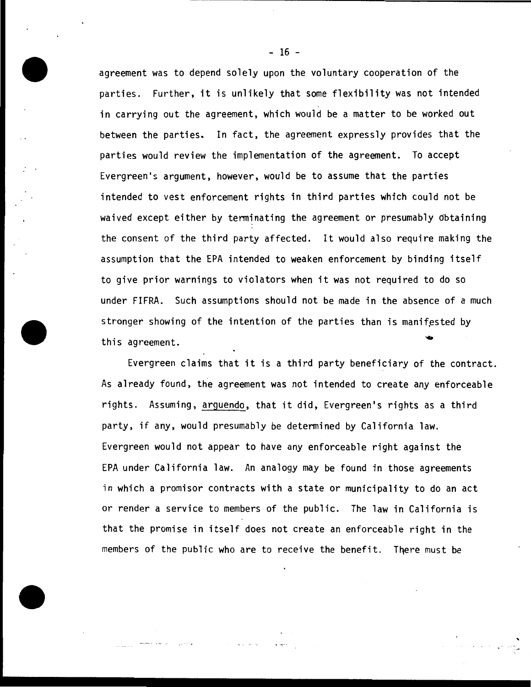agreement was to depend solely upon the voluntary cooperation of the parties. Further, it is unlikely that some flexibility was not intended in carrying out the agreement, which would be a matter to be worked out between the parties. In fact, the agreement expressly provides that the parties would review the implementation of the agreement. To accept Evergreen's argument, however, would be to assume that the parties intended to vest enforcement rights in third parties which could not be waived except either by terminating the agreement or presumably obtaining the consent of the third party affected. It would also require making the assumption that the EPA intended to weaken enforcement by binding itself to give prior warnings to violators when it was not required to do so under FIFRA. Such assumptions should not be made in the absence of a much stronger showing of the intention of the parties than is manifested by this agreement.

Evergreen claims that it is a third party beneficiary of the contract. As already found, the agreement was not intended to create any enforceable rights. Assuming, arguendo, that it did, Evergreen's rights as a third party, if any, would presumably be determined by California law. Evergreen would not appear to have any enforceable right against the EPA under California law. An analogy may be found in those agreements in which a promisor contracts with a state or municipality to do an act or render a service to members of the public. The law in California is that the promise in itself does not create an enforceable right in the members of the public who are to receive the benefit. There must be

.; ·

-··- · .... ,.. , . . .. <sup>~</sup>

 $-16 -$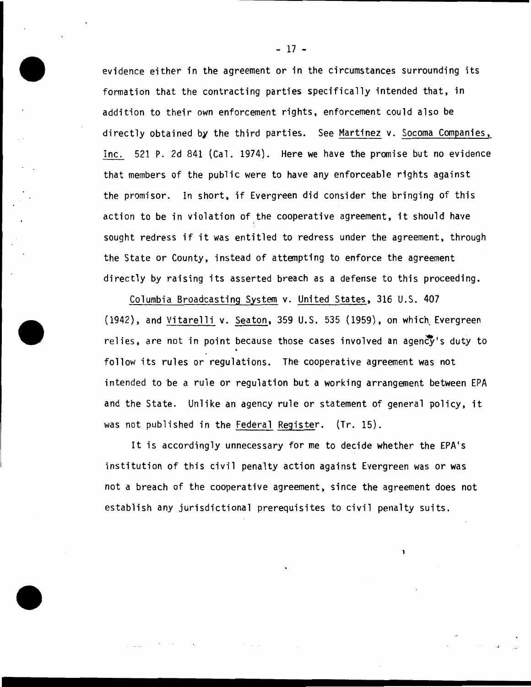evidence either in the agreement or in the circumstances surrounding its formation that the contracting parties specifically intended that, in addition to their own enforcement rights, enforcement could also be directly obtained by the third parties. See Martinez v. Socoma Companies, Inc. 521 P. 2d 841 (Cal. 1974). Here we have the promise but no evidence that members of the public were to have any enforceable rights against the promisor. In short, if Evergreen did consider the bringing of this action to be in violation of the cooperative agreement, it should have sought redress if it was entitled to redress under the agreement, through the State or County, instead of attempting to enforce the agreement directly by raising its asserted breach as a defense to this proceeding.

Columbia Broadcasting System v. United States, 316 U.S. 407  $(1942)$ , and Vitarelli v. Seaton, 359 U.S. 535  $(1959)$ , on which Evergreen relies, are not in point because those cases involved an agency's duty to follow its rules or regulations. The cooperative agreement was not intended to be a rule or regulation but a working arrangement between EPA and the State. Unlike an agency rule or statement of general policy, it was not published in the Federal Register. (Tr. 15).

It is accordingly unnecessary for me to decide whether the EPA•s institution of this civil penalty action against Evergreen was or was not a breach of the cooperative agreement, since the agreement does not establish any jurisdictional prerequisites to civil penalty suits.

- 17 -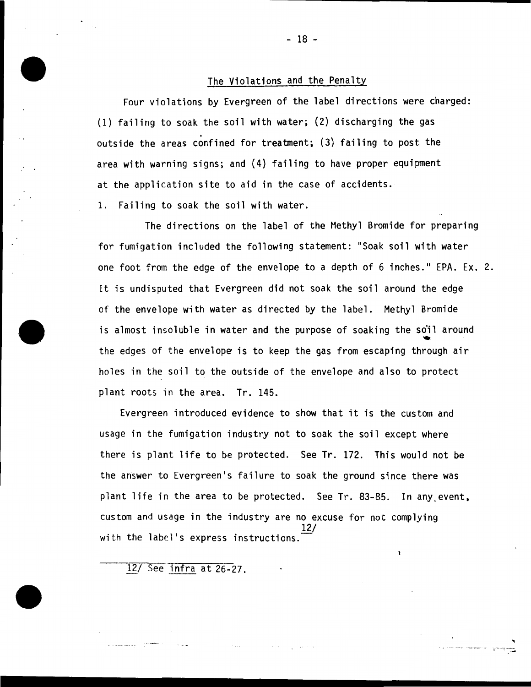# The Violations and the Penalty

Four violations by Evergreen of the label directions were charged: (1) failing to soak the soil with water; (2) discharging the gas outside the areas confined for treatment; (3) failing to post the area with warning signs; and (4) failing to have proper equipment at the application site to aid in the case of accidents.

1. Failing to soak the soil with water.

The directions on the label of the Methyl Bromide for preparing for fumigation included the following statement: "Soak soil with water one foot from the edge of the envelope to a depth of 6 inches." EPA. Ex. 2. It is undisputed that Evergreen did not soak the soil around the edge of the envelope with water as directed by the label. Methyl Bromide is almost insoluble in water and the purpose of soaking the soil around the edges of the envelope is to keep the gas from escaping through air holes in the soil to the outside of the envelope and also to protect plant roots in the area. Tr. 145.

Evergreen introduced evidence to show that it is the custom and usage in the fumigation industry not to soak the soil except where there is plant life to be protected. See Tr. 172. This would not be the answer to Evergreen's failure to soak the ground since there was plant life in the area to be protected. See Tr. 83-85. In any event, custom and usage in the industry are no excuse for not complying 12/ with the label's express instructions.

··· ···-·· ·-·-.--· - .. ..

12/ See infra at 26-27.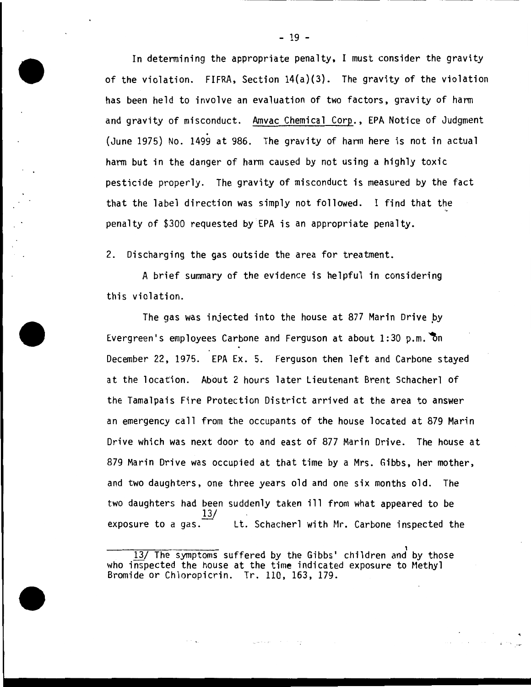In determining the appropriate penalty, I must consider the gravity of the violation. FIFRA, Section 14(a)(3). The gravity of the violation has been held to involve an evaluation of two factors, gravity of harm and gravity of misconduct. Amvac Chemical Corp., EPA Notice of Judgment<br>(June 1975) No. 1499 at 986. The gravity of harm here is not in actual harm but in the danger of harm caused by not using a highly toxic pesticide properly. The gravity of misconduct is measured by the fact that the label direction was simply not followed. I find that the penalty of \$300 requested by EPA is an appropriate penalty.

2. Discharging the gas outside the area for treatment.

A brief summary of the evidence is helpful in considering this violation.

The gas was injected into the house at 877 Marin Drive by Evergreen's employees Carbone and Ferguson at about  $1:30$  p.m. on December 22, 1975. EPA Ex. 5. Ferguson then left and Carbone stayed at the location. About 2 hours later Lieutenant Brent Schacherl of the Tamalpais Fire Protection District arrived at the area to answer an emergency call from the occupants of the house located at 879 Marin Drive which was next door to and east of 877 Marin Drive. The house at 879 Marin Drive was occupied at that time by a Mrs. Gibbs, her mother, and two daughters, one three years old and one six months old. The two daughters had been suddenly taken ill from what appeared to be exposure to a gas.  $\frac{13}{12}$ Lt. Schacherl with Mr. Carbone inspected the

gale of the control

- 19 -

<sup>13/</sup> The symptoms suffered by the Gibbs' children and by those who inspected the house at the time indicated exposure to Methyl Bromide or Chloropicrin. Tr. 110, 163, 179.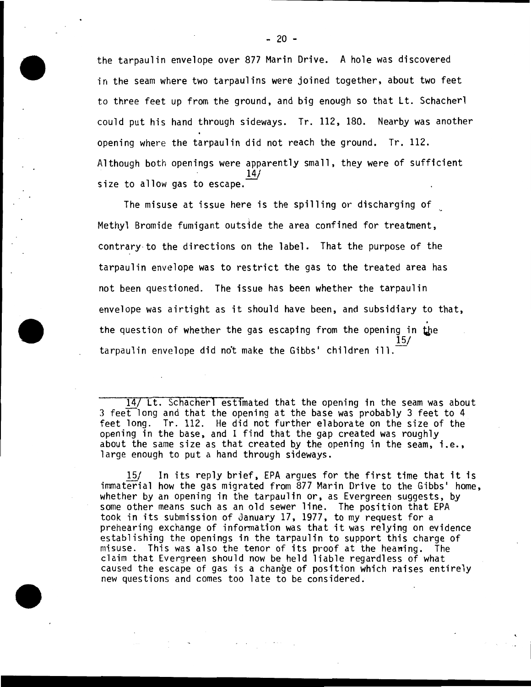the tarpaulin envelope over 877 Marin Drive. A hole was discovered in the seam where two tarpaulins were joined together, about two feet to three feet up from the ground, and big enough so that Lt. Schacherl could put his hand through sideways. Tr. 112, 180. Nearby was another opening where the tarpaulin did not reach the ground. Tr. 112. Although both openings were apparently small, they were of sufficient size to allow gas to escape.

The misuse at issue here is the spilling or discharging of Methyl Bromide fumigant outs1de the area confined for treatment, contrary · to the directions on the label. That the purpose of the tarpaulin envelope was to restrict the gas to the treated area has not been questioned. The issue has been whether the tarpaulin envelope was airtight as it should have been, and subsidiary to that, the question of whether the gas escaping from the opening in the 15/  $t$ arpaulin envelope did not make the Gibbs' children ill.

14/ Lt. Schacherl estimated that the opening in the seam was about 3 feet long and that the opening at the base was probably 3 feet to  $4$ feet long. Tr. 112. He did not further elaborate on the size of the opening in the base, and I find that the gap created was roughly about the same size as that created by the opening in the seam, i.e., large enough to put a hand through sideways.

15/ In its reply brief, EPA argues for the first time that it is immaterial how the gas migrated from 877 Marin Drive to the Gibbs' home, whether by an opening in the tarpaulin or, as Evergreen suggests, by some other means such as an old sewer line. The position that EPA took in its submission of January 17, 1977, to my request for a prehearing exchange of infonnation was that it was relying on evidence establishing the openings in the tarpaulin to support this charge of misuse. This was also the tenor of its proof at the heaning. The claim that Evergreen should now be held liable regardless of what caused the escape of gas is a change of position which raises entirely new questions and comes too late to be considered.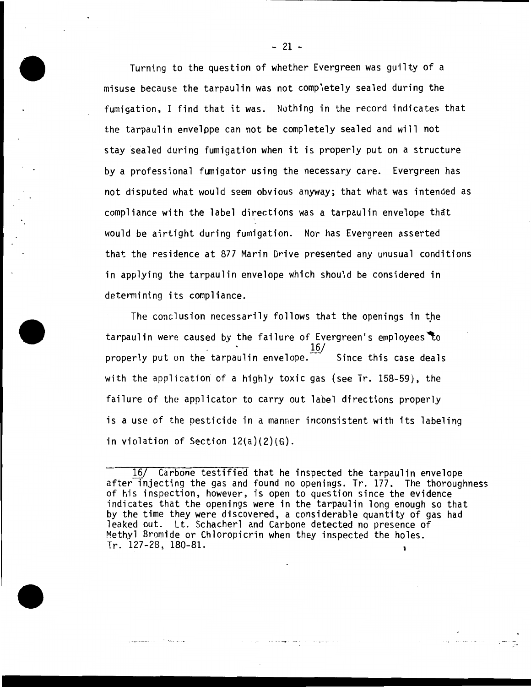Turning to the question of whether Evergreen was guilty of a misuse because the tarpaulin was not completely sealed during the fumigation, I find that it was. Nothing in the record indicates that the tarpaulin envelope can not be completely sealed and will not stay sealed during fumigation when it is properly put on a structure by a professional fumigator using the necessary care. Evergreen has not disputed what would seem obvious anyway; that what was intended as compliance with the label directions was a tarpaulin envelope that would be airtight during fumigation. Nor has Evergreen asserted that the residence at 877 Marin Drive presented any unusual conditions in applying the tarpaulin envelope which should be considered in determining its compliance.

The conclusion necessarily follows that the openings in the tarpaulin were caused by the failure of Evergreen's employees to 16/ properly put on the tarpaulin envelope. $\tilde{\phantom{a}}$  Since this case deals with the application of a highly toxic gas (see Tr. 158-59), the failure of the applicator to carry out label directions properly is a use of the pesticide in a manner inconsistent with its labeling in violation of Section 12(a)(2)(G).

, we can see the second  $\alpha$ 

<sup>16/</sup> Carbone testified that he inspected the tarpaulin envelope after injecting the gas and found no openings. Tr. 177. The thoroughness of his inspection, however, is open to question since the evidence indicates that the openings were in the tarpaulin long enough so that by the time they were discovered, a considerable quantity of gas had leaked out. Lt. Schacherl and Carbone detected no presence of Methyl Bromide or Chloropicrin when they inspected the holes. Tr. 127-28, 180-81.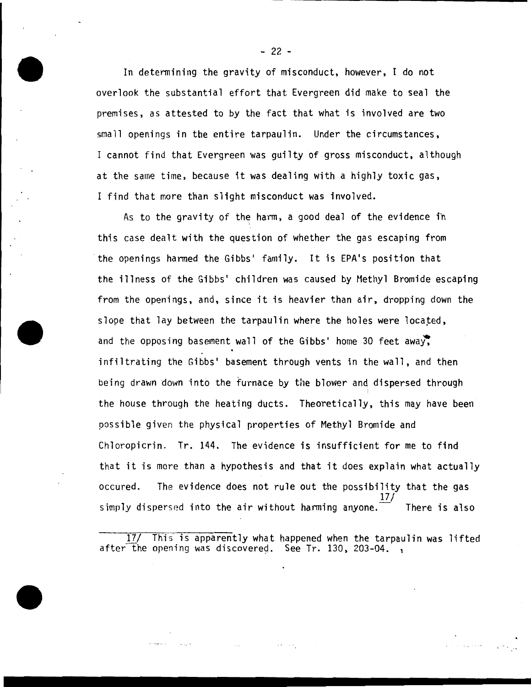In determining the gravity of misconduct, however, I do not overlook the substantial effort that Evergreen did make to seal the premises, as attested to by the fact that what is involved are two small openings in tbe entire tarpaulin. Under the circumstances, I cannot find that Evergreen was guilty of gross misconduct, although at the same time, because it was dealing with a highly toxic gas, I find that more than slight misconduct was involved.

As to the gravity of the harm, a good deal of the evidence fn this case dealt with the question of whether the gas escaping from the openings harmed the Gibbs• family. It is EPA•s position that the illness of the Gibbs' children was caused by Methyl Bromide escaping from the openings, and, since it is heavier than air, dropping down the slope that lay between the tarpaulin where the holes were located, and the opposing basement wall of the Gibbs' home 30 feet away. infiltrating the Gibbs' basement through vents in the wall, and then being drawn down into the furnace by the blower and dispersed through the house through the heating ducts. Theoretically, this may have been possible given the physical properties of Methyl Bromide and Chloropicrin. Tr. 144. The evidence is insufficient for me to find that it is more than a hypothesis and that it does explain what actually occured. The evidence does not rule out the possibility that the gas *}]\_!*  simply dispersed into the air without harming anyone. There is also

This is apparently what happened when the tarpaulin was lifted after the opening was discovered. See Tr. 130, 203-04.

 $-22 -$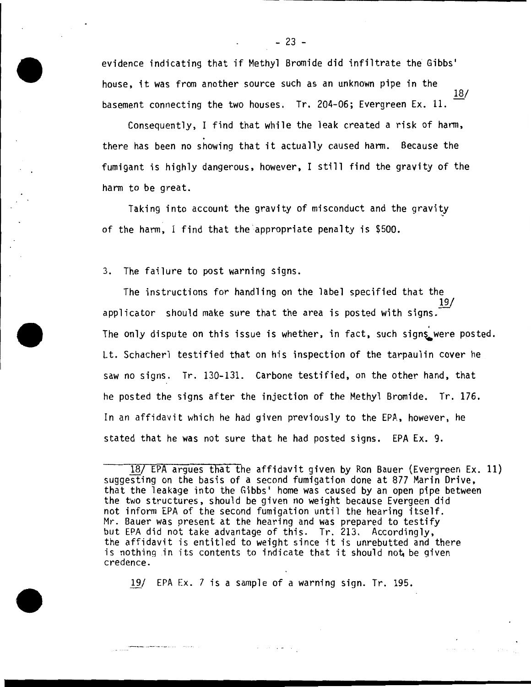evidence indicating that if Methyl Bromide did infiltrate the Gibbs' house, it was from another source such as an unknown pipe in the 18/ basement connecting the two houses. Tr. 204-06; Evergreen Ex. 11.

Consequently, I find that while the leak created a risk of harm, . there has been no showing that it actually caused harm. Because the fumigant is highly dangerous, however, I still find the gravity of the harm to be great.

Taking into account the gravity of misconduct and the gravity of the harm, I find that the appropriate penalty is \$500.

3. The failure to post warning signs.

The instructions for handling on the label specified that the 19/ applicator should make sure that the area is posted with signs. The only dispute on this issue is whether, in fact, such signs were posted. Lt. Schacherl testified that on his inspection of the tarpaulin cover he saw no signs. Tr. 130-131. Carbone testified, on the other hand, that he posted the signs after the injection of the Methyl Bromide. Tr. 176. In an affidavit which he had given previously to the EPA, however, he stated that he was not sure that he had posted signs. EPA Ex. 9.

19/ EPA Ex. 7 is a sample of a warning sign. Tr. 195.

 $\mathbf{z}$  , and  $\mathbf{z}$  , and  $\mathbf{z}$  , and

 $-23 -$ 

<sup>18/</sup> EPA argues that the affidavit given by Ron Bauer {Evergreen Ex. 11) suggesting on the basis of a second fumigation done at 877 Marin Drive, that the leakage into the Gibbs' home was caused by an open pipe between the two structures, should be given no weight because Evergeen did not inform EPA of the second fumigation until the hearing itself.<br>Mr. Bauer was present at the hearing and was prepared to testify but EPA did not take advantage of this. Tr. 213. Accordingly, the affidavit is entitled to weight since it is unrebutted and there is nothing in its contents to indicate that it should not be given credence.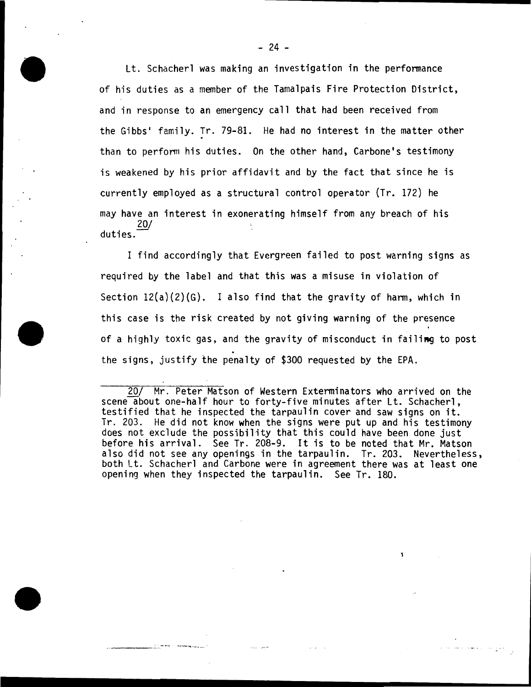Lt. Schacherl was making an investigation in the performance of his duties as a member of the Tamalpais Fire Protection District, and in response to an emergency call that had been received from the Gibbs• family. Tr. 79-81. He had no interest in the matter other than to perform his duties. On the other hand, Carbone's testimony is weakened by his prior affidavit and by the fact that since he is currently employed as a structural control operator (Tr. 172) he may have an interest in exonerating himself from any breach of his 20/ duties. $\frac{20}{100}$ 

I find accordingly that Evergreen failed to post warning signs as required by the label and that this was a misuse in violation of Section  $12(a)(2)(G)$ . I also find that the gravity of harm, which in this case is the risk created by not giving warning of the presence of a highly toxic gas, and the gravity of misconduct in failing to post<br>the signs, justify the penalty of \$300 requested by the EPA.

.... -·-.... ··· ··· · ~ ......

<sup>20/</sup> Mr . Peter Matson of Western Exterminators who arrived on the scene about one-half hour to forty-five minutes after Lt. Schacherl, testified that he inspected the tarpaulin cover and saw signs on it. Tr. 203. He did not know when the signs were put up and his testimony does not exclude the possibility that this could have been done just before his arrival. See Tr. 208-9. It is to be noted that Mr. Matson also did not see any openings in the tarpaulin. Tr. 203. Nevertheless, both Lt. Schacherl and Carbone were in agreement there was at least one opening when they inspected the tarpaulin. See Tr. 180.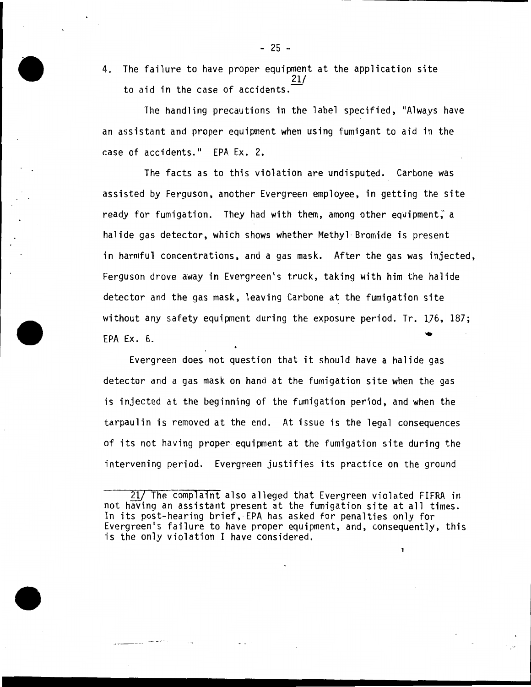4. The failure to have proper equipment at the application site 21/ to aid in the case of accidents.

The handling precautions in the label specified, "Always have an assistant and proper equipment when using fumigant to aid in the case of accidents." EPA Ex. 2.

The facts as to this violation are undisputed. Carbone was assisted by Ferguson, another Evergreen employee, in getting the site ready for fumigation. They had with them, among other equipment, a halide gas detector, which shows whether Methyl Bromide is present in harmful concentrations, and a gas mask. After the gas was injected, Ferguson drove away in Evergreen's truck, taking with him the halide detector and the gas mask, leaving Carbone at the fumigation site without any safety equipment during the exposure period. Tr. 1.76, 187; EPA Ex. 6.

Evergreen does not question that it should have a halide gas detector and a gas mask on hand at the fumigation site when the gas is injected at the beginning of the fumigation period, and when the tarpaulin is removed at the end. At issue is the legal consequences of its not having proper equipment at the fumigation site during the intervening period. Evergreen justifies its practice on the ground

 $- 25 -$ 

<sup>21/</sup> The complaint also alleged that Evergreen violated FIFRA in not having an assistant present at the fumigation site at all times. In its post-hearing brief, EPA has asked for penalties only for Evergreen's failure to have proper equipment, and, consequently, this is the only violation I have considered.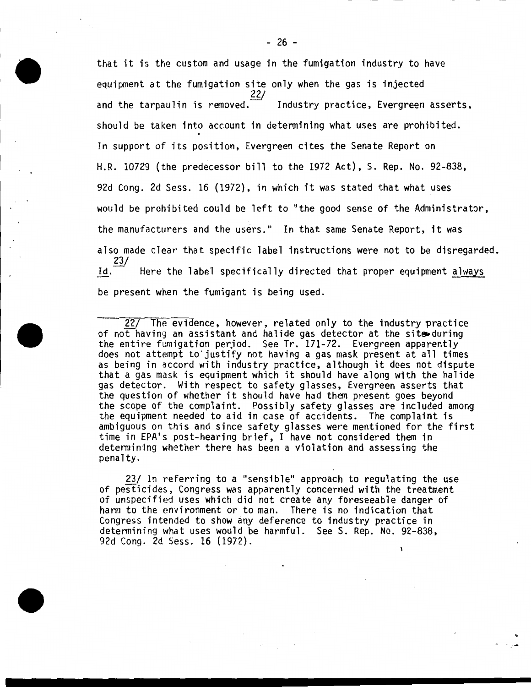that it is the custom and usage in the fumigation industry to have equipment at the fumigation site only when the gas is injected 22/ and the tarpaulin is removed. $\overline{\phantom{a}}$  Industry practice, Evergreen asserts, should be taken into account in determining what uses are prohibited. In support of its position, Evergreen cites the Senate Report on H.R. 10729 (the predecessor bill to the 1972 Act), S. Rep. No. 92-838, 92d Cong. 2d Sess. 16 (1972), in which it was stated that what uses would be prohibited could be left to "the good sense of the Administrator, the manufacturers and the users." In that same Senate Report, it was also made clear that specific label instructions were not to be disregarded.  $\underline{1d} \cdot \frac{23}{2}$ Here the label specifically directed that proper equipment always be present when the fumigant is being used.

22/ The evidence, however, related only to the industry practice of not having an assistant and halide gas detector at the site during the entire fumigation period. See Tr. 171-72. Evergreen apparently<br>does not attempt to justify not having a gas mask present at all times<br>as being in accord with industry practice, although it does not dispute that a gas mask is equipment which it should have along with the halide gas detector. With respect to safety glasses, Evergreen asserts that<br>the question of whether it should have had them present goes beyond the scope of the complaint. Possibly safety glasses are included among the equipment needed to aid in case of accidents. The complaint is ambiguous on this and since safety glasses were mentioned for the first time in EPA's post-hearing brief, I have not considered them in determining whether there has been a violation and assessing the penalty.

23/ In referring to a "sensible" approach to regulating the use of pesticides, Congress was apparently concerned with the treatment of unspecified uses which did not create any foreseeable danger of harm to the environment or to man. There is no indication that Congress intended to show any deference to industry practice in determining what uses would be harmful. See S. Rep. No. 92-838, 92d Cong. 2d Sess. 16 (1972).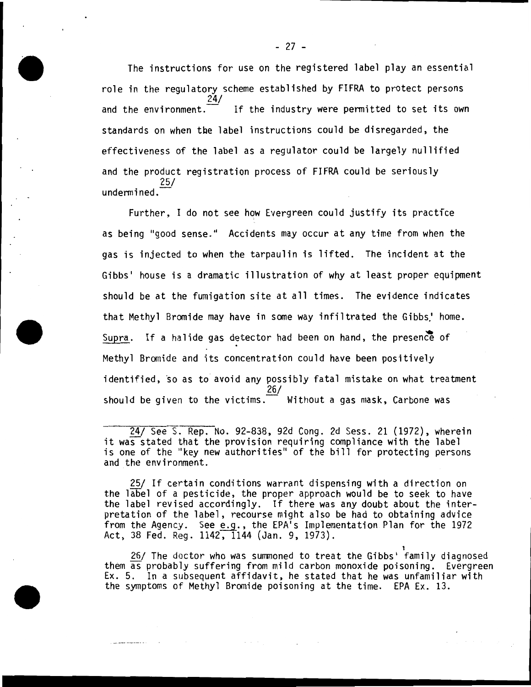The instructions for use on the registered label play an essential role in the regulatory scheme established by FIFRA to protect persons 24/ and the environment.  $\equiv$  If the industry were permitted to set its own standards on when tbe label instructions could be disregarded, the effectiveness of the label as a regulator could be largely nullified and the product registration process of FIFRA could be seriously 25/ undermined.

Further, I do not see how Evergreen could justify its practice as being "good sense." Accidents may occur at any time from when the gas is injected to when the tarpaulin is lifted. The incident at the Gibbs' house is a dramatic illustration of why at least proper equipment should be at the fumigation site at all times. The evidence indicates that Methyl Bromide may have in some way infiltrated the Gibbs.' home. Supra. If a halide gas detector had been on hand, the presence of Methyl Bromide and its concentration could have been positively identified, so as to avoid any possibly fatal mistake on what treatment 26/ should be given to the victims. $\overline{\phantom{a}}$  Without a gas mask, Carbone was

24/ SeeS. Rep. No. 92-838, 92d Cong. 2d Sess. 21 (1972), wherein it was stated that the provision requiring compliance with the label is one of the "key new authorities" of the bill for protecting persons and the environment.

25/ If certain conditions warrant dispensing with a direction on the label of a pesticide, the proper approach would be to seek to have the label revised accordingly. If there was any doubt about the interpretation of the label, recourse might also be had to obtaining advice from the Agency. See e.g., the EPA's Implementation Plan for the 1972 Act, 38 Fed. Reg. 1142, 1144 (Jan. 9, 1973).

26/ The doctor who was summoned to treat the Gibbs' family diagnosed them  $\overline{as}$  probably suffering from mild carbon monoxide poisoning. Evergreen  $Ex. 5.$  In a subsequent affidavit, he stated that he was unfamiliar with the symptoms of Methyl Bromide poisoning at the time. EPA Ex. 13.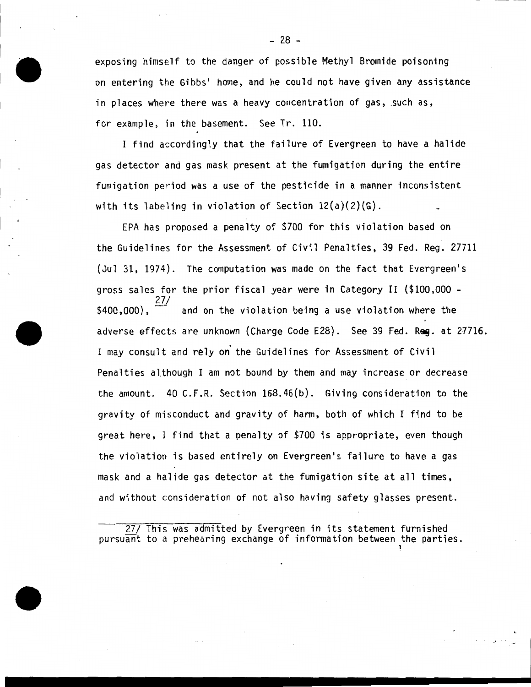exposing himself to the danger of possible Methyl Bromide poisoning on entering the Gibbs' home, and he could not have given any assistance in places where there was a heavy concentration of gas, such as, for example, in the basement. See Tr. 110.

I find accordingly that the failure of Evergreen to have a halide gas detector and gas mask present at the fumigation during the entire fumigation period was a use of the pesticide in a manner inconsistent with its labeling in violation of Section 12(a)(2)(G).

EPA has proposed a penalty of \$700 for this violation based on the Guidelines for the Assessment of Civil Penalties, 39 Fed. Reg. 27711 (Jul 31, 1974). The computation was made on the fact that Evergreen's gross sales for the prior fiscal year were in Category II (\$100,000 -<br>\$400,000). 27/<br>\$400,000). and on the violation being a use violation where the and on the violation being a use violation where the adverse effects are unknown (Charge Code E28). See 39 Fed. Req. at 27716. I may consult and rely on' the Guidelines for Assessment of Civil Penalties although I am not bound by them and may increase or decrease the amount. 40 C.F.R. Section 168.46(b). Giving consideration to the gravity of misconduct and gravity of harm, both of which I find to be great here, I find that a penalty of \$700 is appropriate, even though the violation is based entirely on Evergreen's failure to have a gas mask and a halide gas detector at the fumigation site at all times, and without consideration of not also having safety glasses present.

27/ This was admitted by Evergreen in its statement furnished pursuant to a prehearing exchange of information between the parties.

1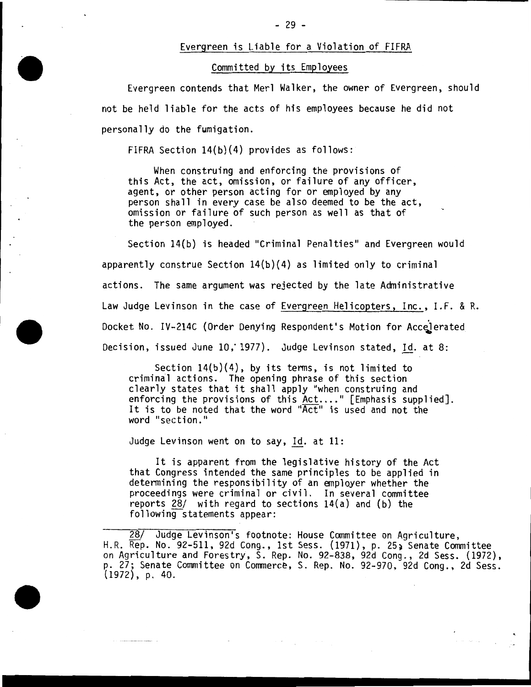#### Evergreen is Liable for a Violation of FIFRA

# Committed by its Employees

Evergreen contends that Merl Walker, the owner of Evergreen, should not be held liable for the acts of his employees because he did not personally do the fumigation.

FIFRA Section 14(b}(4} provides as follows:

When construing and enforcing the provisions of this Act, the act, omission, or failure of any officer, agent, or other person acting for or employed by any person shall in every case be also deemed to be the act, omission or failure of such person as well as that of the person employed.

Section 14(b) is headed "Criminal Penalties" and Evergreen would apparently construe Section  $14(b)(4)$  as limited only to criminal actions. The same argument was rejected by the late Administrative Law Judge Levinson in the case of Evergreen Helicopters, Inc., I.F. & R. Docket No. IV-214C (Order Denying Respondent's Motion for Accelerated Decision, issued June 10, 1977). Judge Levinson stated, Id. at 8:

Section  $14(b)(4)$ , by its terms, is not limited to criminal actions. The opening phrase of this section clearly states that it shall apply "when construing and enforcing the provisions of this Act...." [Emphasis supplied]. It is to be noted that the word "Act" is used and not the word "section."

Judge Levinson went on to say,  $Id.$  at  $11:$ 

It is apparent from the legislative history of the Act that Congress intended the same principles to be applied in determining the responsibility of an employer whether the proceedings were criminal or civil. In several committee reports 28/ with regard to sections 14(a) and (b) the following-statements appear:

28/ Judge Levinson•s footnote: House Committee on Agriculture, H.R. Rep. No. 92-511, 92d Cong., 1st Sess. (1971), p. 25~ Senate Committee on Agriculture and Forestry, S. Rep. No. 92-838, 92d Cong., 2d Sess. (1972), p. 27; Senate Committee on Commerce, S. Rep. No. 92-970, 92d Cong., 2d Sess.  $(1972)$ , p. 40.

 $\mathcal{A}(\mathcal{A})$  and  $\mathcal{A}(\mathcal{A})$  are the set of  $\mathcal{A}(\mathcal{A})$ 

الي التي توسط المدين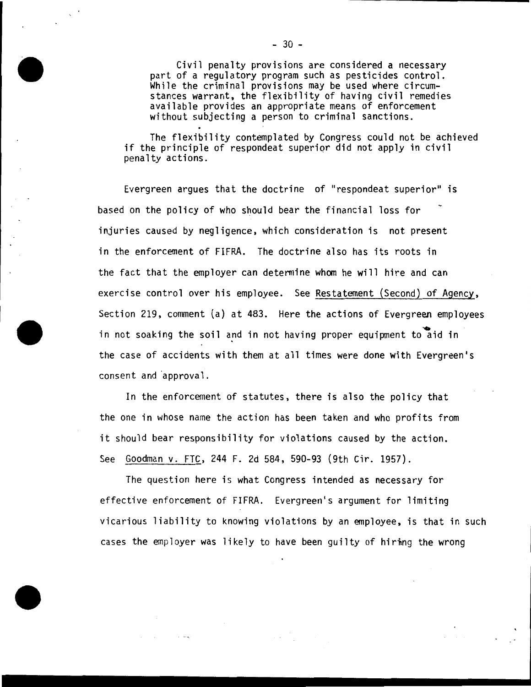Civil penalty provisions are considered a necessary part of a regulatory program such as pesticides control. While the criminal provisions may be used where circumstances warrant, the flexibility of having civil remedies available provides an appropriate means of enforcement without subjecting a person to criminal sanctions.

The flexibility contemplated by Congress could not be achieved if the principle of respondeat superior did not apply in civil penalty actions.

Evergreen argues that the doctrine of "respondeat superior" is based on the policy of who should bear the financial loss for injuries caused by negligence, which consideration is not present in the enforcement of FIFRA. The doctrine also has its roots in the fact that the employer can determine whom he will hire and can exercise control over his employee. See Restatement (Second) of Agency, Section 219, comment (a) at 483. Here the actions of Evergreen employees in not soaking the soil and in not having proper equipment to aid in the case of accidents with them at all times were done with Evergreen's consent and approval.

In the enforcement of statutes, there is also the policy that the one in whose name the action has been taken and who profits from it should bear responsibility for violations caused by the action. See Goodman v. FTC, 244 F. 2d 584, 590-93 (9th Cir. 1957).

The question here is what Congress intended as necessary for effective enforcement of FIFRA. Evergreen's argument for limiting vicarious liability to knowing violations by an employee, is that in such cases the employer was likely to have been guilty of hiring the wrong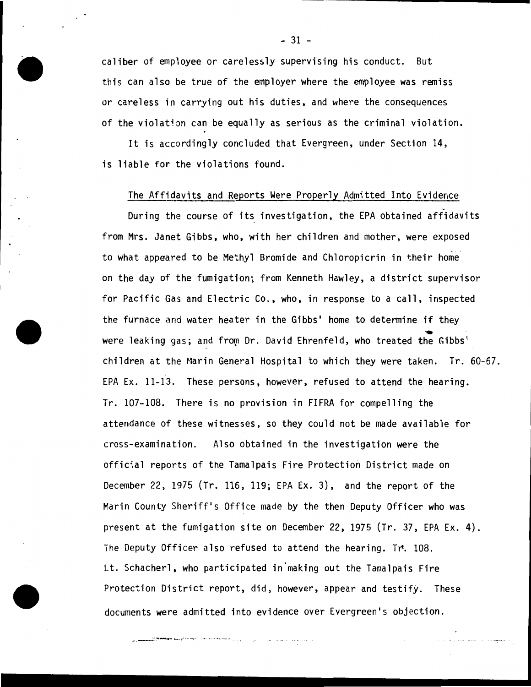caliber of employee or carelessly supervising his conduct. But this can also be true of the employer where the employee was remiss or careless in carrying out his duties, and where the consequences of the violation can be equally as serious as the criminal violation.

It is accordingly concluded that Evergreen, under Section 14, is liable for the violations found.

#### The Affidavits and Reports Were Properly Admitted Into Evidence

During the course of its investigation, the EPA obtained affidavits from Mrs. Janet Gibbs. who, with her children and mother, were exposed to what appeared to be Methyl Bromide and Chloropicrin in their home on the day of the fumigation; from Kenneth Hawley, a district supervisor for Pacific Gas and Electric Co., who, in response to a call, inspected the furnace and water heater in the Gibbs' home to detennine if they .. were leaking gas; and from Dr. David Ehrenfeld, who treated the Gibbs' children at the Marin General Hospital to which they were taken. Tr. 60-67. EPA Ex. 11-13. These persons, however, refused to attend the hearing. Tr. 107-108. There is no provision in FIFRA for compelling the attendance of these witnesses, so they could not be made available for cross-examination. Also obtained in the investigation were the official reports of the Tamalpais Fire Protection District made on December 22, 1975 (Tr. 116, 119; EPA Ex. 3), and the report of the Marin County Sheriff's Office made by the then Deputy Officer who was present at the fumigation site on December 22, 1975 (Tr. 37, EPA Ex. 4). The Deputy Officer also refused to attend the hearing. Tr. 108. Lt. Schacherl, who participated in making out the Tamalpais Fire Protection District report, did, however, appear and testify. These documents were admitted into evidence over Evergreen's objection .

.. \_. \_\_\_ ~ .... --....,."'.- ·;·· ···-,,-· ... " ····-··· ··~ ·"\ ... ··· ·· ·-

- 31 -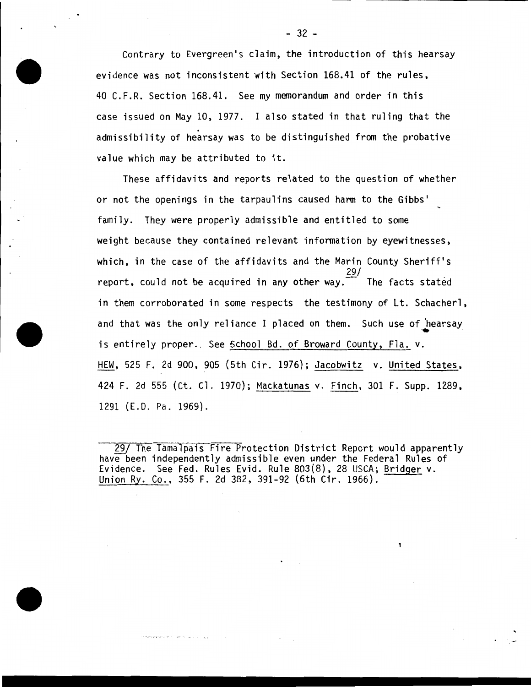Contrary to Evergreen's claim, the introduction of this hearsay evidence was not inconsistent with Section 168.41 of the rules, 40 C.F.R. Section 168.41. See my memorandum and order in this case issued on May 10, 1977. I also stated in that ruling that the . admissibility of hearsay was to be distinguished from the probative value which may be attributed to it.

These affidavits and reports related to the question of whether or not the openings in the tarpaulins caused harm to the Gibbs' family. They were properly admissible and entitled to some weight because they contained relevant information by eyewitnesses, which, in the case of the affidavits and the Marin County Sheriff's 29/ report, could not be acquired in any other way.  $\overline{\phantom{a}}$  The facts stated in them corroborated in some respects the testimony of Lt. Schacherl, and that was the only reliance I placed on them. Such use of  $\,$  hearsay is entirely proper. See School Bd. of Broward County, Fla. v. HEW, 525 F. 2d 900, 905 (5th Cir. 1976}; Jacobwitz v. United States, 424 F. 2d 555 (Ct. Cl. 1970); Mackatunas v. Finch, 301 F. Supp. 1289, 1291 (E.O. Pa. 1969).

<sup>29/</sup> The Tamalpais Fire Protection District Report would apparently have been independently admissible even under the Federal Rules of Evidence. See Fed. Rules Evid. Rule 803(8), 28 USCA; Bridger v. Union Ry. Co., 355 F. 2d 382, 391-92 (6th Cir. 1966).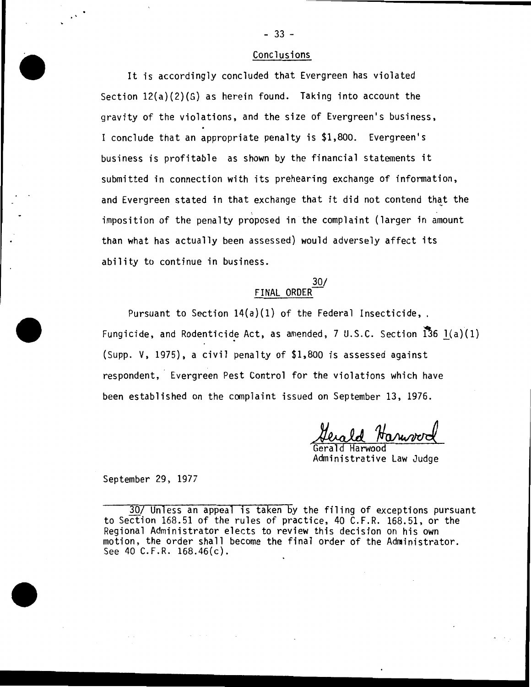#### Conclusions

It is accordingly concluded that Evergreen has violated Section 12(a)(2)(G) as herein found. Taking into account the gravity of the violations, and the size of Evergreen's business, I conclude that an appropriate penalty is \$1,800. Evergreen's business is profitable as shown by the financial statements it submitted in connection with its prehearing exchange of information, and Evergreen stated in that exchange that it did not contend that the imposition of the penalty proposed in the complaint (larger in amount than what has actually been assessed) would adversely affect its ability to continue in business.

#### 30/ FINAL ORDER

Pursuant to Section  $14(a)(1)$  of the Federal Insecticide, . Fungicide, and Rodenticide Act, as amended, 7 U.S.C. Section  $\overline{13}6$  1(a)(1). (Supp. V, 1975), a civil penalty of \$1,800 is assessed against respondent, Evergreen Pest Control for the violations which have been established on the complaint issued on September 13, 1976.

Herald Harwood<br>Gerald Harwood<br>Administrative Law Judge

September 29, 1977

30/ Unless an appeal is taken by the filing of exceptions pursuant to Section 168.51 of the rules of practice, 40 C.F.R. 168.51, or the Regional Administrator elects to review this decision on his own motion, the order shall become the final order of the Administrator. See 40 C.F.R. 168.46(c).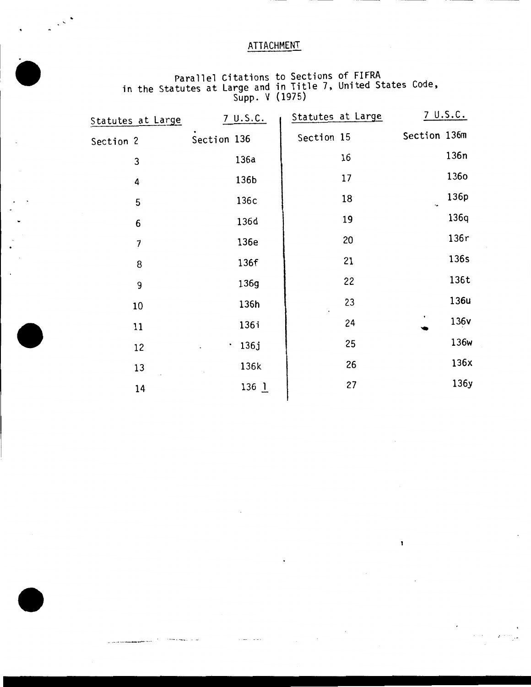# ATTACHMENT

Parallel Citations to Sections of FIFRA in the Statutes at Large and in Title 7, United States Code, Supp. V {1975)

| Statutes at Large    | 7 U.S.C.          | Statutes at Large | 7 U.S.C.     |
|----------------------|-------------------|-------------------|--------------|
| Section <sub>2</sub> | Section 136       | Section 15        | Section 136m |
| 3                    | 136a              | 16                | 136n         |
| 4                    | 136b              | 17                | 1360         |
| 5                    | 136c              | 18                | 136p         |
| 6                    | 136d              | 19                | 136q         |
| $\overline{7}$       | 136e              | 20                | 136r         |
| 8                    | 136f              | 21                | 136s         |
| 9                    | 136g              | 22                | 136t         |
| 10                   | 136h              | 23                | 136u         |
| 11                   | 136i              | 24                | 136v         |
| 12                   | 136j<br>$\bullet$ | 25                | 136w         |
| 13                   | 136k              | 26                | 136x         |
|                      | $136$ $1$         | 27                | 136y         |
| 14                   |                   |                   |              |

 $\mathbf{I}$ 

 $\sim$ 

 $\frac{1}{\sqrt{2\pi}}\left|\frac{1}{\sqrt{2\pi}}\right|^2\frac{1}{2\sqrt{2\pi}}\left|\frac{1}{\sqrt{2\pi}}\right|^2$